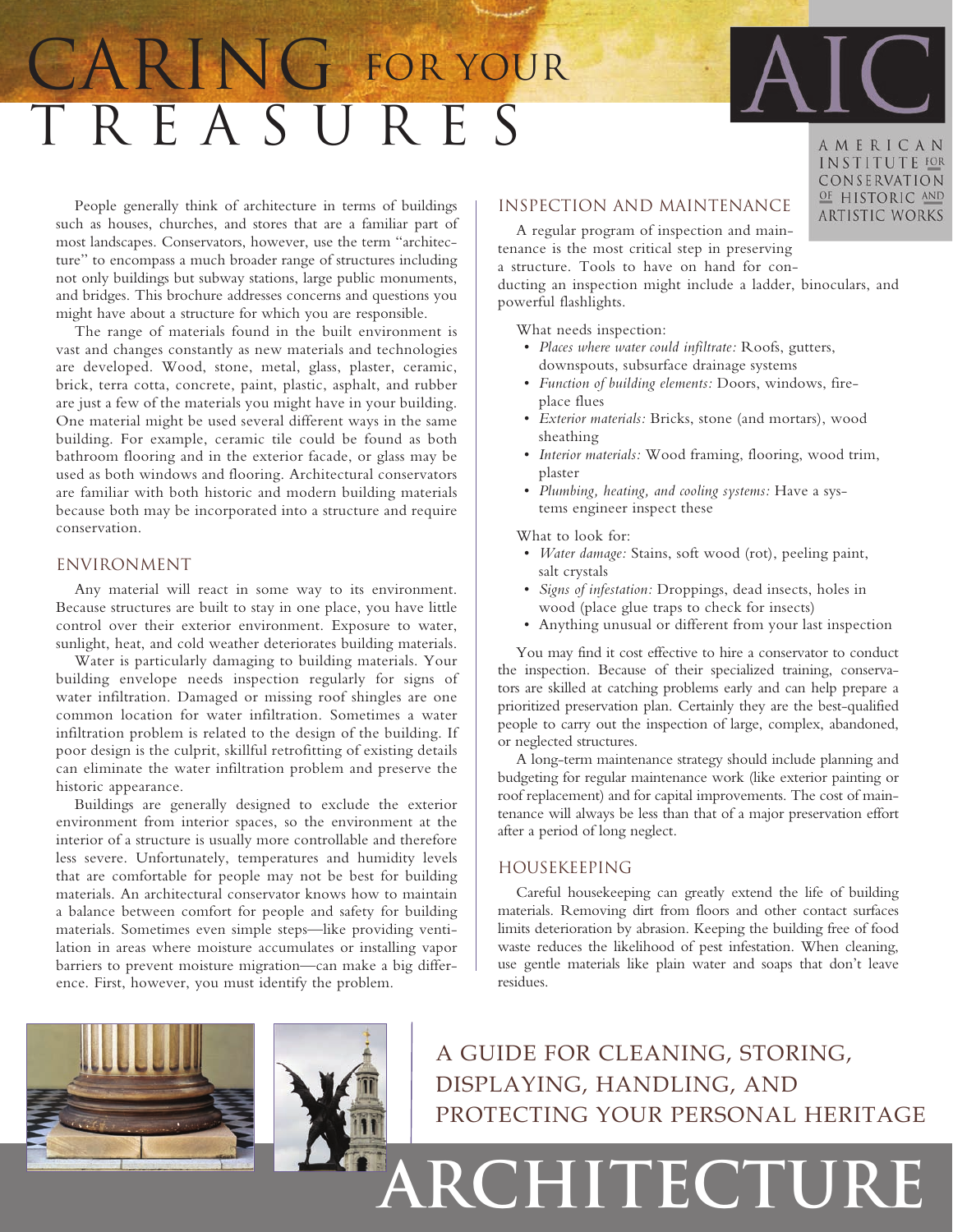# T r e a s u r e s CARING FOR YOUR



AMERICAN INSTITUTE FOR CONSERVATION OF HISTORIC AND **ARTISTIC WORKS** 

People generally think of architecture in terms of buildings such as houses, churches, and stores that are a familiar part of most landscapes. Conservators, however, use the term "architecture" to encompass a much broader range of structures including not only buildings but subway stations, large public monuments, and bridges. This brochure addresses concerns and questions you might have about a structure for which you are responsible.

The range of materials found in the built environment is vast and changes constantly as new materials and technologies are developed. Wood, stone, metal, glass, plaster, ceramic, brick, terra cotta, concrete, paint, plastic, asphalt, and rubber are just a few of the materials you might have in your building. One material might be used several different ways in the same building. For example, ceramic tile could be found as both bathroom flooring and in the exterior facade, or glass may be used as both windows and flooring. Architectural conservators are familiar with both historic and modern building materials because both may be incorporated into a structure and require conservation.

## Environment

Any material will react in some way to its environment. Because structures are built to stay in one place, you have little control over their exterior environment. Exposure to water, sunlight, heat, and cold weather deteriorates building materials.

Water is particularly damaging to building materials. Your building envelope needs inspection regularly for signs of water infiltration. Damaged or missing roof shingles are one common location for water infiltration. Sometimes a water infiltration problem is related to the design of the building. If poor design is the culprit, skillful retrofitting of existing details can eliminate the water infiltration problem and preserve the historic appearance.

Buildings are generally designed to exclude the exterior environment from interior spaces, so the environment at the interior of a structure is usually more controllable and therefore less severe. Unfortunately, temperatures and humidity levels that are comfortable for people may not be best for building materials. An architectural conservator knows how to maintain a balance between comfort for people and safety for building materials. Sometimes even simple steps—like providing ventilation in areas where moisture accumulates or installing vapor barriers to prevent moisture migration—can make a big difference. First, however, you must identify the problem.

# Inspection and Maintenance

A regular program of inspection and maintenance is the most critical step in preserving a structure. Tools to have on hand for conducting an inspection might include a ladder, binoculars, and

powerful flashlights.

What needs inspection:

- • *Places where water could infiltrate:* Roofs, gutters, downspouts, subsurface drainage systems
- • *Function of building elements:* Doors, windows, fireplace flues
- • *Exterior materials:* Bricks, stone (and mortars), wood sheathing
- • *Interior materials:* Wood framing, flooring, wood trim, plaster
- • *Plumbing, heating, and cooling systems:* Have a systems engineer inspect these

What to look for:

- • *Water damage:* Stains, soft wood (rot), peeling paint, salt crystals
- *Signs of infestation:* Droppings, dead insects, holes in wood (place glue traps to check for insects)
- • Anything unusual or different from your last inspection

You may find it cost effective to hire a conservator to conduct the inspection. Because of their specialized training, conservators are skilled at catching problems early and can help prepare a prioritized preservation plan. Certainly they are the best-qualified people to carry out the inspection of large, complex, abandoned, or neglected structures.

A long-term maintenance strategy should include planning and budgeting for regular maintenance work (like exterior painting or roof replacement) and for capital improvements. The cost of maintenance will always be less than that of a major preservation effort after a period of long neglect.

## Housekeeping

Careful housekeeping can greatly extend the life of building materials. Removing dirt from floors and other contact surfaces limits deterioration by abrasion. Keeping the building free of food waste reduces the likelihood of pest infestation. When cleaning, use gentle materials like plain water and soaps that don't leave residues.



A guide for cleaning, storing, displaying, handling, and protecting your personal heritage